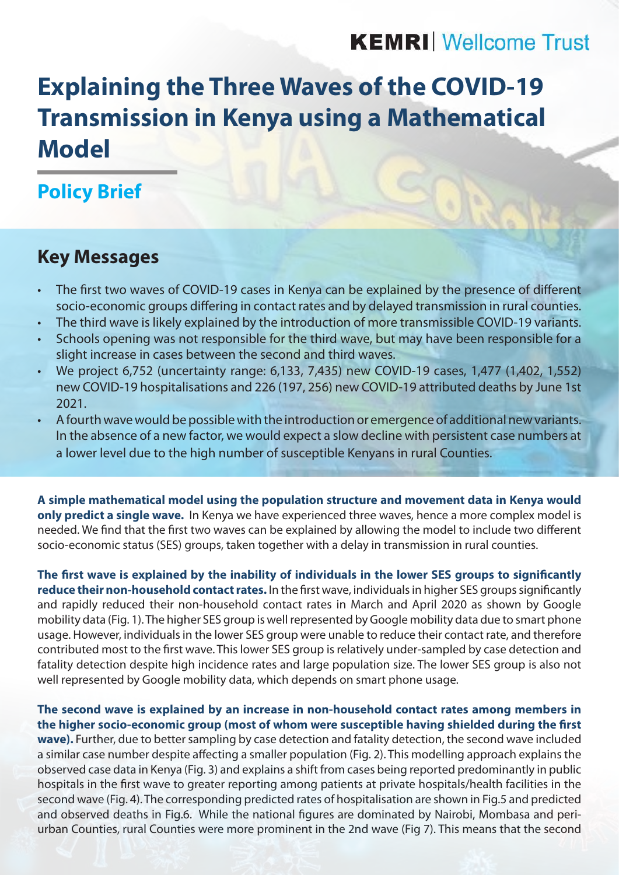# **KEMRI** Wellcome Trust

# **Explaining the Three Waves of the COVID-19 Transmission in Kenya using a Mathematical Model**

## **Policy Brief**

### **Key Messages**

- The first two waves of COVID-19 cases in Kenya can be explained by the presence of different socio-economic groups differing in contact rates and by delayed transmission in rural counties.
- The third wave is likely explained by the introduction of more transmissible COVID-19 variants.
- Schools opening was not responsible for the third wave, but may have been responsible for a slight increase in cases between the second and third waves.
- We project 6,752 (uncertainty range: 6,133, 7,435) new COVID-19 cases, 1,477 (1,402, 1,552) new COVID-19 hospitalisations and 226 (197, 256) new COVID-19 attributed deaths by June 1st 2021.
- A fourth wave would be possible with the introduction or emergence of additional new variants. In the absence of a new factor, we would expect a slow decline with persistent case numbers at a lower level due to the high number of susceptible Kenyans in rural Counties.

**A simple mathematical model using the population structure and movement data in Kenya would only predict a single wave.** In Kenya we have experienced three waves, hence a more complex model is needed. We find that the first two waves can be explained by allowing the model to include two different socio-economic status (SES) groups, taken together with a delay in transmission in rural counties.

**The first wave is explained by the inability of individuals in the lower SES groups to significantly reduce their non-household contact rates.** In the first wave, individuals in higher SES groups significantly and rapidly reduced their non-household contact rates in March and April 2020 as shown by Google mobility data (Fig. 1). The higher SES group is well represented by Google mobility data due to smart phone usage. However, individuals in the lower SES group were unable to reduce their contact rate, and therefore contributed most to the first wave. This lower SES group is relatively under-sampled by case detection and fatality detection despite high incidence rates and large population size. The lower SES group is also not well represented by Google mobility data, which depends on smart phone usage.

**The second wave is explained by an increase in non-household contact rates among members in the higher socio-economic group (most of whom were susceptible having shielded during the first wave).** Further, due to better sampling by case detection and fatality detection, the second wave included a similar case number despite affecting a smaller population (Fig. 2). This modelling approach explains the observed case data in Kenya (Fig. 3) and explains a shift from cases being reported predominantly in public hospitals in the first wave to greater reporting among patients at private hospitals/health facilities in the second wave (Fig. 4). The corresponding predicted rates of hospitalisation are shown in Fig.5 and predicted and observed deaths in Fig.6. While the national figures are dominated by Nairobi, Mombasa and periurban Counties, rural Counties were more prominent in the 2nd wave (Fig 7). This means that the second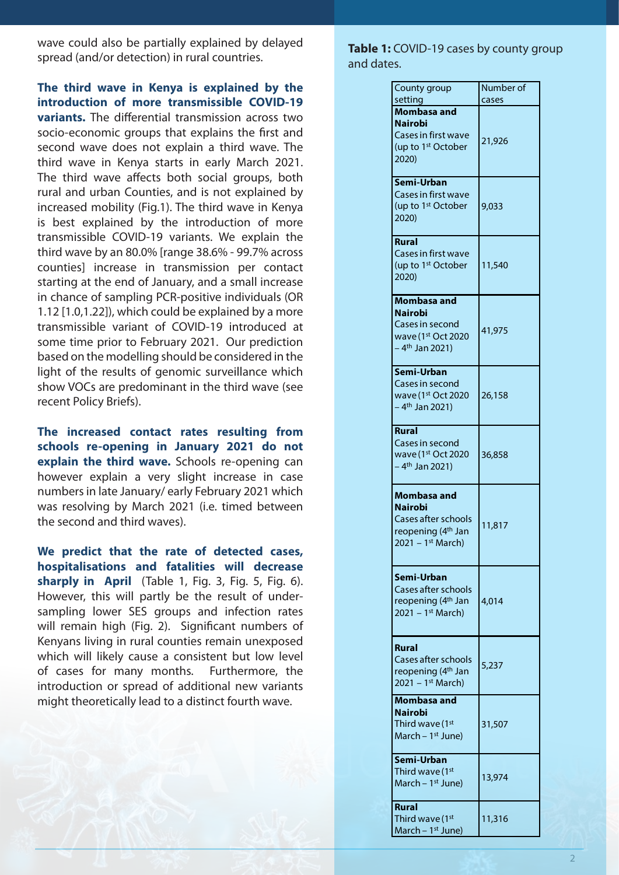wave could also be partially explained by delayed spread (and/or detection) in rural countries.

**The third wave in Kenya is explained by the introduction of more transmissible COVID-19 variants.** The differential transmission across two socio-economic groups that explains the first and second wave does not explain a third wave. The third wave in Kenya starts in early March 2021. The third wave affects both social groups, both rural and urban Counties, and is not explained by increased mobility (Fig.1). The third wave in Kenya is best explained by the introduction of more transmissible COVID-19 variants. We explain the third wave by an 80.0% [range 38.6% - 99.7% across counties] increase in transmission per contact starting at the end of January, and a small increase in chance of sampling PCR-positive individuals (OR 1.12 [1.0,1.22]), which could be explained by a more transmissible variant of COVID-19 introduced at some time prior to February 2021. Our prediction based on the modelling should be considered in the light of the results of genomic surveillance which show VOCs are predominant in the third wave (see recent Policy Briefs).

**The increased contact rates resulting from schools re-opening in January 2021 do not explain the third wave.** Schools re-opening can however explain a very slight increase in case numbers in late January/ early February 2021 which was resolving by March 2021 (i.e. timed between the second and third waves).

**We predict that the rate of detected cases, hospitalisations and fatalities will decrease sharply in April** (Table 1, Fig. 3, Fig. 5, Fig. 6). However, this will partly be the result of undersampling lower SES groups and infection rates will remain high (Fig. 2). Significant numbers of Kenyans living in rural counties remain unexposed which will likely cause a consistent but low level of cases for many months. Furthermore, the introduction or spread of additional new variants might theoretically lead to a distinct fourth wave.

Table 1: COVID-19 cases by county group and dates.

| County group                                          | Number of |
|-------------------------------------------------------|-----------|
| setting<br>Mombasa and                                | cases     |
| <b>Nairobi</b>                                        |           |
| Cases in first wave                                   | 21,926    |
| (up to 1 <sup>st</sup> October                        |           |
| 2020)                                                 |           |
| Semi-Urban                                            |           |
| Cases in first wave                                   |           |
| (up to 1 <sup>st</sup> October                        | 9,033     |
| 2020)                                                 |           |
| <b>Rural</b>                                          |           |
| Cases in first wave                                   |           |
| (up to 1 <sup>st</sup> October                        | 11,540    |
| 2020)                                                 |           |
| Mombasa and                                           |           |
| <b>Nairobi</b>                                        |           |
| Cases in second                                       | 41,975    |
| wave (1 <sup>st</sup> Oct 2020                        |           |
| - 4 <sup>th</sup> Jan 2021)                           |           |
| Semi-Urban                                            |           |
| Cases in second                                       |           |
| wave (1st Oct 2020                                    | 26,158    |
| – 4 <sup>th</sup> Jan 2021)                           |           |
| <b>Rural</b>                                          |           |
| Cases in second                                       |           |
| wave (1st Oct 2020                                    | 36,858    |
| - 4 <sup>th</sup> Jan 2021)                           |           |
| Mombasa and                                           |           |
| <b>Nairobi</b>                                        |           |
| Cases after schools                                   | 11,817    |
| reopening (4 <sup>th</sup> Jan                        |           |
| $2021 - 1$ <sup>st</sup> March)                       |           |
|                                                       |           |
| Semi-Urban                                            |           |
| Cases after schools<br>reopening (4 <sup>th</sup> Jan | 4,014     |
| 2021 – 1st March)                                     |           |
|                                                       |           |
|                                                       |           |
| Rural<br>Cases after schools                          |           |
| reopening (4 <sup>th</sup> Jan                        | 5,237     |
| $2021 - 1$ <sup>st</sup> March)                       |           |
| Mombasa and                                           |           |
| <b>Nairobi</b>                                        |           |
| Third wave (1st                                       | 31,507    |
| March - $1st$ June)                                   |           |
| Semi-Urban                                            |           |
| Third wave (1st                                       | 13,974    |
| March – $1st$ June)                                   |           |
| Rural                                                 |           |
| Third wave (1 <sup>st</sup>                           | 11,316    |
| March – 1 <sup>st</sup> June)                         |           |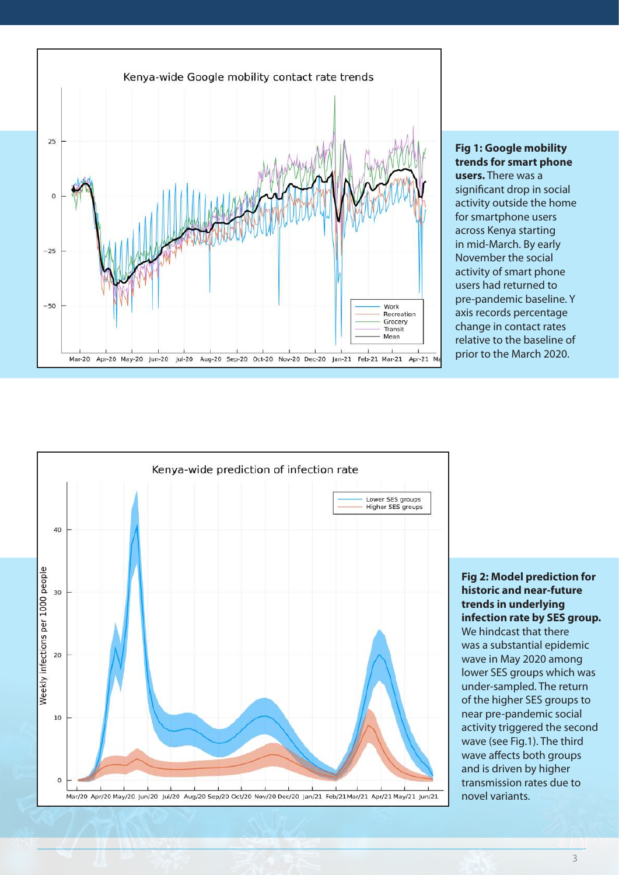

**Fig 1: Google mobility trends for smart phone users.** There was a significant drop in social activity outside the home for smartphone users across Kenya starting in mid-March. By early November the social activity of smart phone users had returned to pre-pandemic baseline. Y axis records percentage change in contact rates relative to the baseline of prior to the March 2020.



**Fig 2: Model prediction for historic and near-future trends in underlying infection rate by SES group.** We hindcast that there was a substantial epidemic wave in May 2020 among lower SES groups which was under-sampled. The return of the higher SES groups to near pre-pandemic social activity triggered the second wave (see Fig.1). The third wave affects both groups and is driven by higher transmission rates due to novel variants.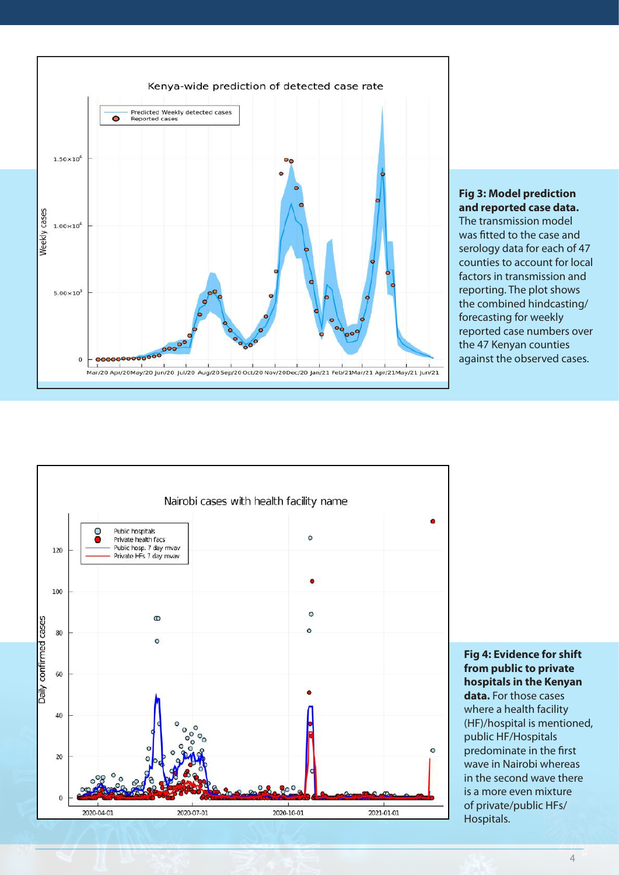

#### **Fig 3: Model prediction and reported case data.**

The transmission model was fitted to the case and serology data for each of 47 counties to account for local factors in transmission and reporting. The plot shows the combined hindcasting/ forecasting for weekly reported case numbers over the 47 Kenyan counties against the observed cases.



**Fig 4: Evidence for shift from public to private hospitals in the Kenyan data.** For those cases where a health facility (HF)/hospital is mentioned, public HF/Hospitals predominate in the first wave in Nairobi whereas in the second wave there is a more even mixture of private/public HFs/ Hospitals.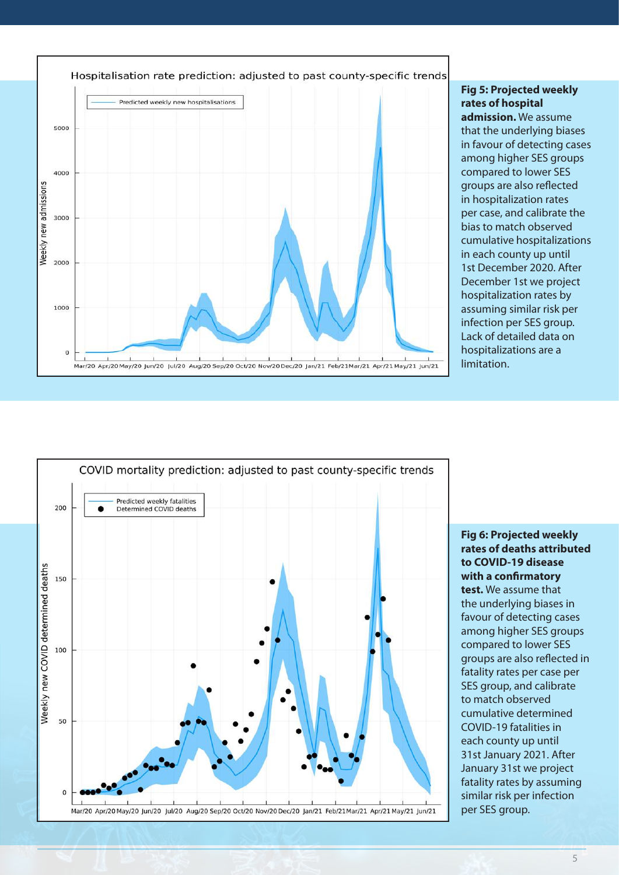

**Fig 5: Projected weekly rates of hospital admission.** We assume that the underlying biases in favour of detecting cases among higher SES groups compared to lower SES groups are also reflected in hospitalization rates per case, and calibrate the bias to match observed cumulative hospitalizations in each county up until 1st December 2020. After December 1st we project hospitalization rates by assuming similar risk per infection per SES group. Lack of detailed data on hospitalizations are a limitation.



**Fig 6: Projected weekly rates of deaths attributed to COVID-19 disease with a confirmatory test.** We assume that the underlying biases in favour of detecting cases among higher SES groups compared to lower SES groups are also reflected in fatality rates per case per SES group, and calibrate to match observed cumulative determined COVID-19 fatalities in each county up until 31st January 2021. After January 31st we project fatality rates by assuming similar risk per infection per SES group.

#### 5